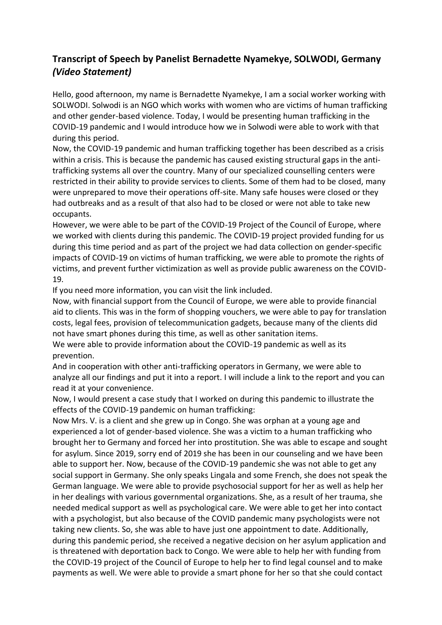## **Transcript of Speech by Panelist Bernadette Nyamekye, SOLWODI, Germany**  *(Video Statement)*

Hello, good afternoon, my name is Bernadette Nyamekye, I am a social worker working with SOLWODI. Solwodi is an NGO which works with women who are victims of human trafficking and other gender-based violence. Today, I would be presenting human trafficking in the COVID-19 pandemic and I would introduce how we in Solwodi were able to work with that during this period.

Now, the COVID-19 pandemic and human trafficking together has been described as a crisis within a crisis. This is because the pandemic has caused existing structural gaps in the antitrafficking systems all over the country. Many of our specialized counselling centers were restricted in their ability to provide services to clients. Some of them had to be closed, many were unprepared to move their operations off-site. Many safe houses were closed or they had outbreaks and as a result of that also had to be closed or were not able to take new occupants.

However, we were able to be part of the COVID-19 Project of the Council of Europe, where we worked with clients during this pandemic. The COVID-19 project provided funding for us during this time period and as part of the project we had data collection on gender-specific impacts of COVID-19 on victims of human trafficking, we were able to promote the rights of victims, and prevent further victimization as well as provide public awareness on the COVID-19.

If you need more information, you can visit the link included.

Now, with financial support from the Council of Europe, we were able to provide financial aid to clients. This was in the form of shopping vouchers, we were able to pay for translation costs, legal fees, provision of telecommunication gadgets, because many of the clients did not have smart phones during this time, as well as other sanitation items.

We were able to provide information about the COVID-19 pandemic as well as its prevention.

And in cooperation with other anti-trafficking operators in Germany, we were able to analyze all our findings and put it into a report. I will include a link to the report and you can read it at your convenience.

Now, I would present a case study that I worked on during this pandemic to illustrate the effects of the COVID-19 pandemic on human trafficking:

Now Mrs. V. is a client and she grew up in Congo. She was orphan at a young age and experienced a lot of gender-based violence. She was a victim to a human trafficking who brought her to Germany and forced her into prostitution. She was able to escape and sought for asylum. Since 2019, sorry end of 2019 she has been in our counseling and we have been able to support her. Now, because of the COVID-19 pandemic she was not able to get any social support in Germany. She only speaks Lingala and some French, she does not speak the German language. We were able to provide psychosocial support for her as well as help her in her dealings with various governmental organizations. She, as a result of her trauma, she needed medical support as well as psychological care. We were able to get her into contact with a psychologist, but also because of the COVID pandemic many psychologists were not taking new clients. So, she was able to have just one appointment to date. Additionally, during this pandemic period, she received a negative decision on her asylum application and is threatened with deportation back to Congo. We were able to help her with funding from the COVID-19 project of the Council of Europe to help her to find legal counsel and to make payments as well. We were able to provide a smart phone for her so that she could contact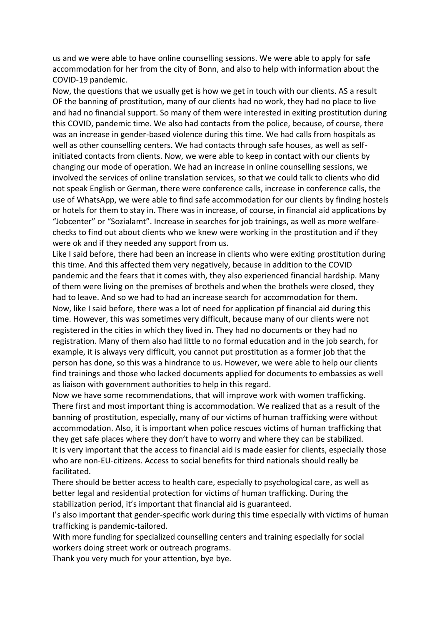us and we were able to have online counselling sessions. We were able to apply for safe accommodation for her from the city of Bonn, and also to help with information about the COVID-19 pandemic.

Now, the questions that we usually get is how we get in touch with our clients. AS a result OF the banning of prostitution, many of our clients had no work, they had no place to live and had no financial support. So many of them were interested in exiting prostitution during this COVID, pandemic time. We also had contacts from the police, because, of course, there was an increase in gender-based violence during this time. We had calls from hospitals as well as other counselling centers. We had contacts through safe houses, as well as selfinitiated contacts from clients. Now, we were able to keep in contact with our clients by changing our mode of operation. We had an increase in online counselling sessions, we involved the services of online translation services, so that we could talk to clients who did not speak English or German, there were conference calls, increase in conference calls, the use of WhatsApp, we were able to find safe accommodation for our clients by finding hostels or hotels for them to stay in. There was in increase, of course, in financial aid applications by "Jobcenter" or "Sozialamt". Increase in searches for job trainings, as well as more welfarechecks to find out about clients who we knew were working in the prostitution and if they were ok and if they needed any support from us.

Like I said before, there had been an increase in clients who were exiting prostitution during this time. And this affected them very negatively, because in addition to the COVID pandemic and the fears that it comes with, they also experienced financial hardship. Many of them were living on the premises of brothels and when the brothels were closed, they had to leave. And so we had to had an increase search for accommodation for them. Now, like I said before, there was a lot of need for application pf financial aid during this time. However, this was sometimes very difficult, because many of our clients were not registered in the cities in which they lived in. They had no documents or they had no registration. Many of them also had little to no formal education and in the job search, for example, it is always very difficult, you cannot put prostitution as a former job that the person has done, so this was a hindrance to us. However, we were able to help our clients find trainings and those who lacked documents applied for documents to embassies as well as liaison with government authorities to help in this regard.

Now we have some recommendations, that will improve work with women trafficking. There first and most important thing is accommodation. We realized that as a result of the banning of prostitution, especially, many of our victims of human trafficking were without accommodation. Also, it is important when police rescues victims of human trafficking that they get safe places where they don't have to worry and where they can be stabilized. It is very important that the access to financial aid is made easier for clients, especially those who are non-EU-citizens. Access to social benefits for third nationals should really be facilitated.

There should be better access to health care, especially to psychological care, as well as better legal and residential protection for victims of human trafficking. During the stabilization period, it's important that financial aid is guaranteed.

I's also important that gender-specific work during this time especially with victims of human trafficking is pandemic-tailored.

With more funding for specialized counselling centers and training especially for social workers doing street work or outreach programs.

Thank you very much for your attention, bye bye.